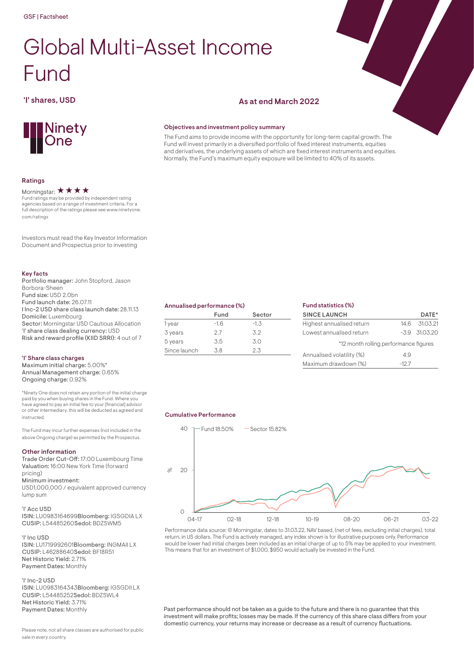# Global Multi-Asset Income Fund

## 'I' shares, USD As at end March 2022



#### Ratings

#### Morningstar:  $\star \star \star \star$

Fund ratings may be provided by independent rating agencies based on a range of investment criteria. For a full description of the ratings please see www.ninetyone. com/ratings

Investors must read the Key Investor Information Document and Prospectus prior to investing

### Key facts

| Portfolio manager: John Stopford, Jason         |
|-------------------------------------------------|
| Borbora-Sheen                                   |
| Fund size: USD 2.0bn                            |
| Fund launch date: 26.07.11                      |
| I Inc-2 USD share class launch date: 28.11.13   |
| Domicile: Luxembourg                            |
| Sector: Morningstar USD Cautious Allocation     |
| 'I' share class dealing currency: USD           |
| Risk and reward profile (KIID SRRI): 4 out of 7 |

#### 'I' Share class charges

Maximum initial charge: 5.00%\* Annual Management charge: 0.65% Ongoing charge: 0.92%

\*Ninety One does not retain any portion of the initial charge paid by you when buying shares in the Fund. Where you have agreed to pay an initial fee to your [financial] advisor or other intermediary, this will be deducted as agreed and instructed.

The Fund may incur further expenses (not included in the above Ongoing charge) as permitted by the Prospectus.

#### Other information

Trade Order Cut-Off: 17:00 Luxembourg Time Valuation: 16:00 New York Time (forward pricing)

Minimum investment:

USD1,000,000 / equivalent approved currency lump sum

#### 'I' Acc USD

ISIN: LU0983164699Bloomberg: IGSGDIA LX CUSIP: L54485260Sedol: BDZSWM5

#### 'I' Inc USD

ISIN: LU1719992601Bloomberg: INGMAII LX CUSIP: L46288640Sedol: BF18R51 Net Historic Yield: 2.71% Payment Dates: Monthly

#### 'I' Inc-2 USD

ISIN: LU0983164343Bloomberg: IGSGDII LX CUSIP: L54485252Sedol: BDZSWL4 Net Historic Yield: 3.71% Payment Dates: Monthly

Please note, not all share classes are authorised for public sale in every country.

#### Objectives and investment policy summary

The Fund aims to provide income with the opportunity for long-term capital growth. The Fund will invest primarily in a diversified portfolio of fixed interest instruments, equities and derivatives, the underlying assets of which are fixed interest instruments and equities. Normally, the Fund's maximum equity exposure will be limited to 40% of its assets.

| Annualised performance (%) |  |
|----------------------------|--|
|                            |  |

|              | Fund   | Sector |  |
|--------------|--------|--------|--|
| 1 year       | $-1.6$ | $-1.3$ |  |
| 3 years      | 27     | 3.2    |  |
| 5 years      | 3.5    | 3.0    |  |
| Since launch | .3 R   | 2.3    |  |
|              |        |        |  |

| Fund statistics (%)                   |         |                    |
|---------------------------------------|---------|--------------------|
| <b>SINCE LAUNCH</b>                   |         | DATE*              |
| Highest annualised return             | 14.6    | 31.03.21           |
| Lowest annualised return              |         | $-3.9$ $-31.03.20$ |
| *12 month rolling performance figures |         |                    |
| Annualised volatility (%)             | 49      |                    |
| Maximum drawdown (%)                  | $-12.7$ |                    |

#### Cumulative Performance



Performance data source: © Morningstar, dates to 31.03.22, NAV based, (net of fees, excluding initial charges), total return, in US dollars. The Fund is actively managed, any index shown is for illustrative purposes only. Performance would be lower had initial charges been included as an initial charge of up to 5% may be applied to your investment. This means that for an investment of \$1,000, \$950 would actually be invested in the Fund.

Past performance should not be taken as a guide to the future and there is no guarantee that this investment will make profits; losses may be made. If the currency of this share class differs from your domestic currency, your returns may increase or decrease as a result of currency fluctuations.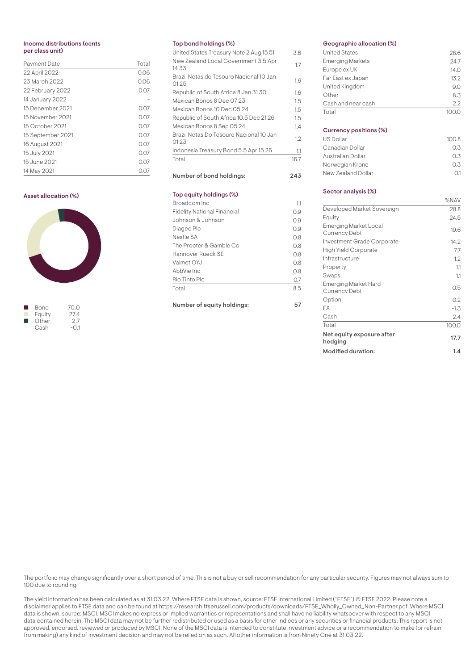#### Income distributions (cents per class unit)

| <b>Payment Date</b> | Total        |
|---------------------|--------------|
| 22 April 2022       | 0.06         |
| 23 March 2022       | 0.06         |
| 22 February 2022    | 0.07         |
| 14 January 2022     |              |
| 15 December 2021    | 0.07         |
| 15 November 2021    | 0.07         |
| 15 October 2021     | 0.07         |
| 15 September 2021   | 0.07         |
| 16 August 2021      | 0.07         |
| 15 July 2021        | 0.07         |
| 15 June 2021        | 0.07         |
| 14 May 2021         | <u> U.Uz</u> |

#### Asset allocation (%)



|   | Bond   | 70.0   |
|---|--------|--------|
|   | Equity | 27.4   |
| ш | Other  | 2.7    |
|   | Cash   | $-0.1$ |
|   |        |        |

#### Top bond holdings (%)

| United States Treasury Note 2 Aug 15 51         | 3.6  |
|-------------------------------------------------|------|
| New Zealand Local Government 3.5 Apr<br>1433    | 1.7  |
| Brazil Notas do Tesouro Nacional 10 Jan<br>0125 | 1.6  |
| Republic of South Africa 8 Jan 3130             | 1.6  |
| Mexican Bonos 8 Dec 07 23                       | 1.5  |
| Mexican Bonos 10 Dec 05 24                      | 1.5  |
| Republic of South Africa 10.5 Dec 2126          | 1.5  |
| Mexican Bonos 8 Sep 05 24                       | 1.4  |
| Brazil Notas Do Tesouro Nacional 10 Jan<br>0123 | 1.2  |
| Indonesia Treasury Bond 5.5 Apr 15 26           | 1.1  |
| Total                                           | 16.7 |
| Number of bond holdings:                        | 243  |
|                                                 |      |
| Top equity holdings (%)                         |      |
| Broadcom Inc                                    | 11   |
| <b>Fidelity National Financial</b>              | 0.9  |
| Johnson & Johnson                               | 0.9  |
| Diageo Plc                                      | 0.9  |
| Nestle SA                                       | 0.8  |
| The Procter & Gamble Co                         | 0.8  |
| Hannover Rueck SE                               | 0.8  |

AbbVie Inc 0.8 Rio Tinto Plc 0.7 Total 8.5

Number of equity holdings: 57

#### Geographic allocation (%)

| <b>United States</b>    | 28.6 |
|-------------------------|------|
| <b>Emerging Markets</b> | 24.7 |
| Europe ex UK            | 14.0 |
| Far East ex Japan       | 13.2 |
| United Kingdom          | 90   |
| Other                   | 8.3  |
| Cash and near cash      | 22   |
| Total                   |      |

#### Currency positions (%)

| US Dollar          | 100.8 |
|--------------------|-------|
| Canadian Dollar    | 0.3   |
| Australian Dollar  | 0.3   |
| Norwegian Krone    | 0.3   |
| New Zealand Dollar | Ω1    |
|                    |       |

#### Sector analysis (%)

|                                               | %NAV   |
|-----------------------------------------------|--------|
| Developed Market Sovereign                    | 28.8   |
| Equity                                        | 24.5   |
| Emerging Market Local<br><b>Currency Debt</b> | 19.6   |
| <b>Investment Grade Corporate</b>             | 14.2   |
| <b>High Yield Corporate</b>                   | 7.7    |
| Infrastructure                                | 1.2    |
| Property                                      | 1.1    |
| Swaps                                         | 1.1    |
| Emerging Market Hard<br><b>Currency Debt</b>  | 0.5    |
| Option                                        | 0.2    |
| FX                                            | $-1.3$ |
| Cash                                          | 2.4    |
| Total                                         | 100.0  |
| Net equity exposure after<br>hedging          | 17.7   |
| <b>Modified duration:</b>                     | 1.4    |

The portfolio may change significantly over a short period of time. This is not a buy or sell recommendation for any particular security. Figures may not always sum to 100 due to rounding.

The yield information has been calculated as at 31.03.22. Where FTSE data is shown, source: FTSE International Limited ("FTSE") © FTSE 2022. Please note a disclaimer applies to FTSE data and can be found at https://research.ftserussell.com/products/downloads/FTSE\_Wholly\_Owned\_Non-Partner.pdf. Where MSCI data is shown, source: MSCI. MSCI makes no express or implied warranties or representations and shall have no liability whatsoever with respect to any MSCI data contained herein. The MSCI data may not be further redistributed or used as a basis for other indices or any securities or financial products. This report is not approved, endorsed, reviewed or produced by MSCI. None of the MSCI data is intended to constitute investment advice or a recommendation to make (or refrain from making) any kind of investment decision and may not be relied on as such. All other information is from Ninety One at 31.03.22.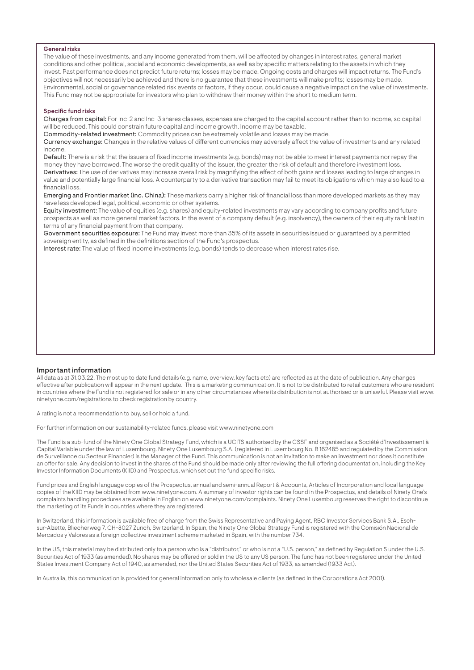#### General risks

The value of these investments, and any income generated from them, will be affected by changes in interest rates, general market conditions and other political, social and economic developments, as well as by specific matters relating to the assets in which they invest. Past performance does not predict future returns; losses may be made. Ongoing costs and charges will impact returns. The Fund's objectives will not necessarily be achieved and there is no guarantee that these investments will make profits; losses may be made. Environmental, social or governance related risk events or factors, if they occur, could cause a negative impact on the value of investments. This Fund may not be appropriate for investors who plan to withdraw their money within the short to medium term.

#### Specific fund risks

Charges from capital: For Inc-2 and Inc-3 shares classes, expenses are charged to the capital account rather than to income, so capital will be reduced. This could constrain future capital and income growth. Income may be taxable.

Commodity-related investment: Commodity prices can be extremely volatile and losses may be made.

Currency exchange: Changes in the relative values of different currencies may adversely affect the value of investments and any related income.

Default: There is a risk that the issuers of fixed income investments (e.g. bonds) may not be able to meet interest payments nor repay the money they have borrowed. The worse the credit quality of the issuer, the greater the risk of default and therefore investment loss. Derivatives: The use of derivatives may increase overall risk by magnifying the effect of both gains and losses leading to large changes in value and potentially large financial loss. A counterparty to a derivative transaction may fail to meet its obligations which may also lead to a financial loss.

Emerging and Frontier market (inc. China): These markets carry a higher risk of financial loss than more developed markets as they may have less developed legal, political, economic or other systems.

Equity investment: The value of equities (e.g. shares) and equity-related investments may vary according to company profits and future prospects as well as more general market factors. In the event of a company default (e.g. insolvency), the owners of their equity rank last in terms of any financial payment from that company.

Government securities exposure: The Fund may invest more than 35% of its assets in securities issued or guaranteed by a permitted sovereign entity, as defined in the definitions section of the Fund's prospectus.

Interest rate: The value of fixed income investments (e.g. bonds) tends to decrease when interest rates rise.

#### Important information

All data as at 31.03.22. The most up to date fund details (e.g. name, overview, key facts etc) are reflected as at the date of publication. Any changes effective after publication will appear in the next update. This is a marketing communication. It is not to be distributed to retail customers who are resident in countries where the Fund is not registered for sale or in any other circumstances where its distribution is not authorised or is unlawful. Please visit www. ninetyone.com/registrations to check registration by country.

A rating is not a recommendation to buy, sell or hold a fund.

For further information on our sustainability-related funds, please visit www.ninetyone.com

The Fund is a sub-fund of the Ninety One Global Strategy Fund, which is a UCITS authorised by the CSSF and organised as a Société d'Investissement à Capital Variable under the law of Luxembourg. Ninety One Luxembourg S.A. (registered in Luxembourg No. B 162485 and regulated by the Commission de Surveillance du Secteur Financier) is the Manager of the Fund. This communication is not an invitation to make an investment nor does it constitute an offer for sale. Any decision to invest in the shares of the Fund should be made only after reviewing the full offering documentation, including the Key Investor Information Documents (KIID) and Prospectus, which set out the fund specific risks.

Fund prices and English language copies of the Prospectus, annual and semi-annual Report & Accounts, Articles of Incorporation and local language copies of the KIID may be obtained from www.ninetyone.com. A summary of investor rights can be found in the Prospectus, and details of Ninety One's complaints handling procedures are available in English on www.ninetyone.com/complaints. Ninety One Luxembourg reserves the right to discontinue the marketing of its Funds in countries where they are registered.

In Switzerland, this information is available free of charge from the Swiss Representative and Paying Agent, RBC Investor Services Bank S.A., Eschsur-Alzette, Bliecherweg 7, CH-8027 Zurich, Switzerland. In Spain, the Ninety One Global Strategy Fund is registered with the Comisión Nacional de Mercados y Valores as a foreign collective investment scheme marketed in Spain, with the number 734.

In the US, this material may be distributed only to a person who is a "distributor," or who is not a "U.S. person," as defined by Regulation S under the U.S. Securities Act of 1933 (as amended). No shares may be offered or sold in the US to any US person. The fund has not been registered under the United States Investment Company Act of 1940, as amended, nor the United States Securities Act of 1933, as amended (1933 Act).

In Australia, this communication is provided for general information only to wholesale clients (as defined in the Corporations Act 2001).